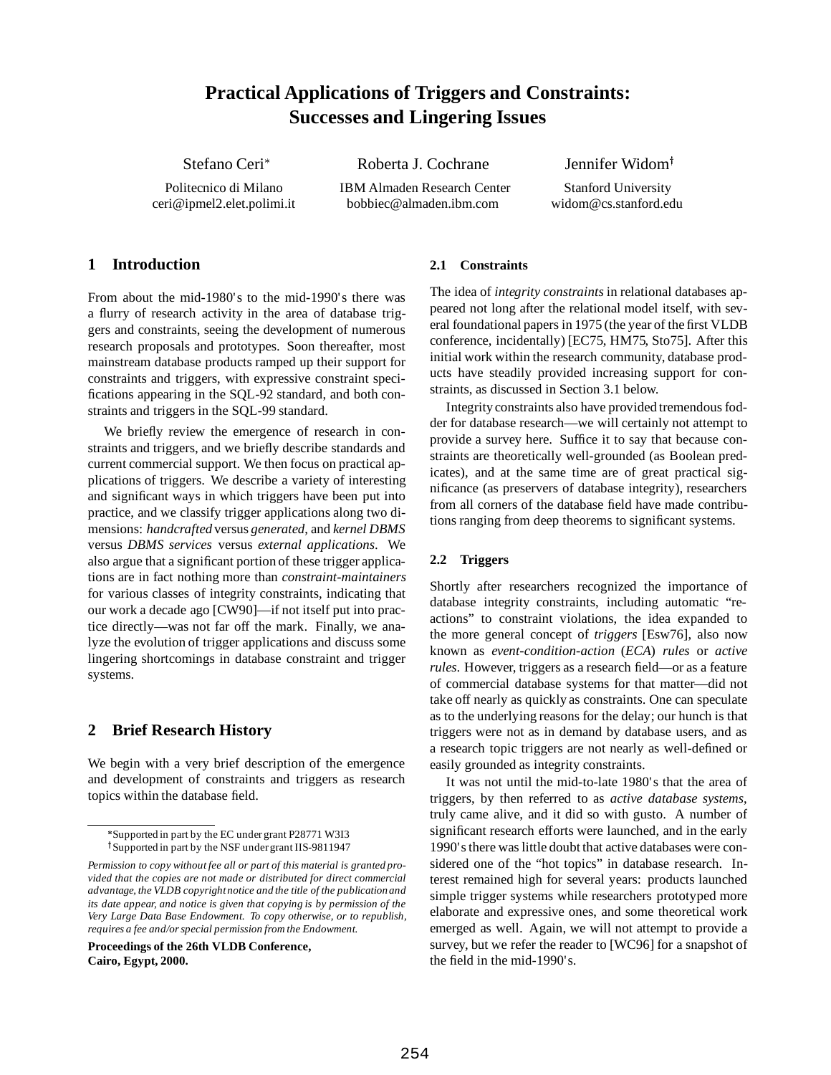# **Practical Applications of Triggers and Constraints: Successes and Lingering Issues**

Stefano Ceri

Roberta J. Cochrane Jennifer Widom<sup>†</sup>

Politecnico di Milano IBM Almaden Research Center Stanford University ceri@ipmel2.elet.polimi.it bobbiec@almaden.ibm.com widom@cs.stanford.edu

### **1 Introduction**

From about the mid-1980's to the mid-1990's there was a flurry of research activity in the area of database triggers and constraints, seeing the development of numerous research proposals and prototypes. Soon thereafter, most mainstream database products ramped up their support for constraints and triggers, with expressive constraint specifications appearing in the SQL-92 standard, and both constraints and triggers in the SQL-99 standard.

We briefly review the emergence of research in constraints and triggers, and we briefly describe standards and current commercial support. We then focus on practical applications of triggers. We describe a variety of interesting and significant ways in which triggers have been put into practice, and we classify trigger applications along two dimensions: *handcrafted* versus *generated*, and *kernel DBMS* versus *DBMS services* versus *external applications*. We also argue that a significant portion of these trigger applications are in fact nothing more than *constraint-maintainers* for various classes of integrity constraints, indicating that our work a decade ago [CW90]—if not itself put into practice directly—was not far off the mark. Finally, we analyze the evolution of trigger applications and discuss some lingering shortcomings in database constraint and trigger systems.

# **2 Brief Research History**

We begin with a very brief description of the emergence and development of constraints and triggers as research topics within the database field.

**Proceedings of the 26th VLDB Conference, Cairo, Egypt, 2000.**

#### **2.1 Constraints**

The idea of *integrity constraints* in relational databases appeared not long after the relational model itself, with several foundational papers in 1975 (the year of the first VLDB conference, incidentally) [EC75, HM75, Sto75]. After this initial work within the research community, database products have steadily provided increasing support for constraints, as discussed in Section 3.1 below.

Integrity constraints also have provided tremendous fodder for database research—we will certainly not attempt to provide a survey here. Suffice it to say that because constraints are theoretically well-grounded (as Boolean predicates), and at the same time are of great practical significance (as preservers of database integrity), researchers from all corners of the database field have made contributions ranging from deep theorems to significant systems.

### **2.2 Triggers**

Shortly after researchers recognized the importance of database integrity constraints, including automatic "reactions" to constraint violations, the idea expanded to the more general concept of *triggers* [Esw76], also now known as *event-condition-action* (*ECA*) *rules* or *active rules*. However, triggers as a research field—or as a feature of commercial database systems for that matter—did not take off nearly as quickly as constraints. One can speculate as to the underlying reasons for the delay; our hunch is that triggers were not as in demand by database users, and as a research topic triggers are not nearly as well-defined or easily grounded as integrity constraints.

It was not until the mid-to-late 1980's that the area of triggers, by then referred to as *active database systems*, truly came alive, and it did so with gusto. A number of significant research efforts were launched, and in the early 1990's there was little doubt that active databases were considered one of the "hot topics" in database research. Interest remained high for several years: products launched simple trigger systems while researchers prototyped more elaborate and expressive ones, and some theoretical work emerged as well. Again, we will not attempt to provide a survey, but we refer the reader to [WC96] for a snapshot of the field in the mid-1990's.

Supported in part by the EC under grant P28771 W3I3 <sup>†</sup>Supported in part by the NSF under grant IIS-9811947

*Permission to copy without fee all or part of this material is granted provided that the copies are not made or distributed for direct commercial advantage, the VLDB copyrightnotice and the title of the publication and its date appear, and notice is given that copying is by permission of the Very Large Data Base Endowment. To copy otherwise, or to republish, requires a fee and/or special permission from the Endowment.*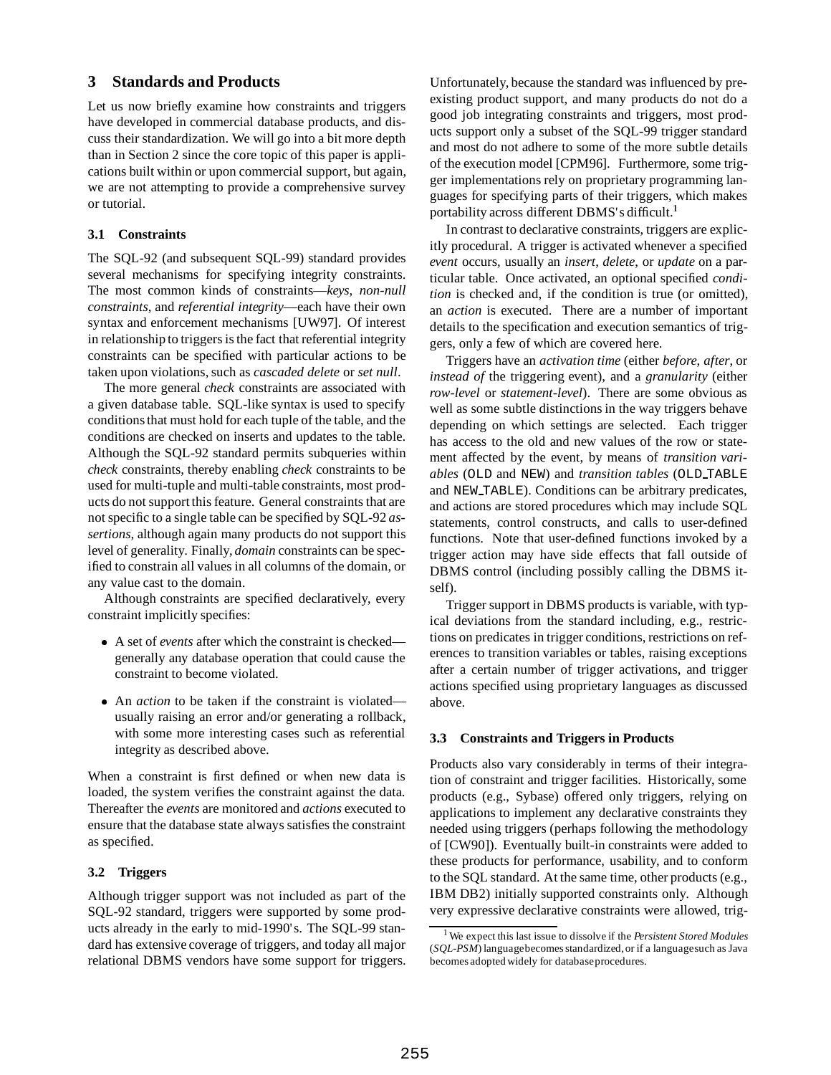### **3 Standards and Products**

Let us now briefly examine how constraints and triggers have developed in commercial database products, and discuss their standardization. We will go into a bit more depth than in Section 2 since the core topic of this paper is applications built within or upon commercial support, but again, we are not attempting to provide a comprehensive survey or tutorial.

#### **3.1 Constraints**

The SQL-92 (and subsequent SQL-99) standard provides several mechanisms for specifying integrity constraints. The most common kinds of constraints—*keys*, *non-null constraints*, and *referential integrity*—each have their own syntax and enforcement mechanisms [UW97]. Of interest in relationship to triggers is the fact that referential integrity constraints can be specified with particular actions to be taken upon violations, such as *cascaded delete* or *set null*.

The more general *check* constraints are associated with a given database table. SQL-like syntax is used to specify conditions that must hold for each tuple of the table, and the conditions are checked on inserts and updates to the table. Although the SQL-92 standard permits subqueries within *check* constraints, thereby enabling *check* constraints to be used for multi-tuple and multi-table constraints, most products do not support this feature. General constraints that are not specific to a single table can be specified by SQL-92 *assertions*, although again many products do not support this level of generality. Finally, *domain* constraints can be specified to constrain all values in all columns of the domain, or any value cast to the domain.

Although constraints are specified declaratively, every constraint implicitly specifies:

- A set of *events* after which the constraint is checked generally any database operation that could cause the constraint to become violated.
- An *action* to be taken if the constraint is violated usually raising an error and/or generating a rollback, with some more interesting cases such as referential integrity as described above.

When a constraint is first defined or when new data is loaded, the system verifies the constraint against the data. Thereafter the *events* are monitored and *actions* executed to ensure that the database state always satisfies the constraint as specified.

#### **3.2 Triggers**

Although trigger support was not included as part of the SQL-92 standard, triggers were supported by some products already in the early to mid-1990's. The SQL-99 standard has extensive coverage of triggers, and today all major relational DBMS vendors have some support for triggers.

Unfortunately, because the standard was influenced by preexisting product support, and many products do not do a good job integrating constraints and triggers, most products support only a subset of the SQL-99 trigger standard and most do not adhere to some of the more subtle details of the execution model [CPM96]. Furthermore, some trigger implementations rely on proprietary programming languages for specifying parts of their triggers, which makes portability across different DBMS's difficult.<sup>1</sup>

In contrast to declarative constraints, triggers are explicitly procedural. A trigger is activated whenever a specified *event* occurs, usually an *insert*, *delete*, or *update* on a particular table. Once activated, an optional specified *condition* is checked and, if the condition is true (or omitted), an *action* is executed. There are a number of important details to the specification and execution semantics of triggers, only a few of which are covered here.

Triggers have an *activation time* (either *before*, *after*, or *instead of* the triggering event), and a *granularity* (either *row-level* or *statement-level*). There are some obvious as well as some subtle distinctions in the way triggers behave depending on which settings are selected. Each trigger has access to the old and new values of the row or statement affected by the event, by means of *transition variables* (OLD and NEW) and *transition tables* (OLD TABLE and NEW TABLE). Conditions can be arbitrary predicates, and actions are stored procedures which may include SQL statements, control constructs, and calls to user-defined functions. Note that user-defined functions invoked by a trigger action may have side effects that fall outside of DBMS control (including possibly calling the DBMS itself).

Trigger support in DBMS products is variable, with typical deviations from the standard including, e.g., restrictions on predicates in trigger conditions, restrictions on references to transition variables or tables, raising exceptions after a certain number of trigger activations, and trigger actions specified using proprietary languages as discussed above.

#### **3.3 Constraints and Triggers in Products**

Products also vary considerably in terms of their integration of constraint and trigger facilities. Historically, some products (e.g., Sybase) offered only triggers, relying on applications to implement any declarative constraints they needed using triggers (perhaps following the methodology of [CW90]). Eventually built-in constraints were added to these products for performance, usability, and to conform to the SQL standard. At the same time, other products (e.g., IBM DB2) initially supported constraints only. Although very expressive declarative constraints were allowed, trig-

<sup>1</sup> We expect this last issue to dissolve if the *Persistent Stored Modules* (*SQL-PSM*) languagebecomes standardized,or if a languagesuch as Java becomes adopted widely for databaseprocedures.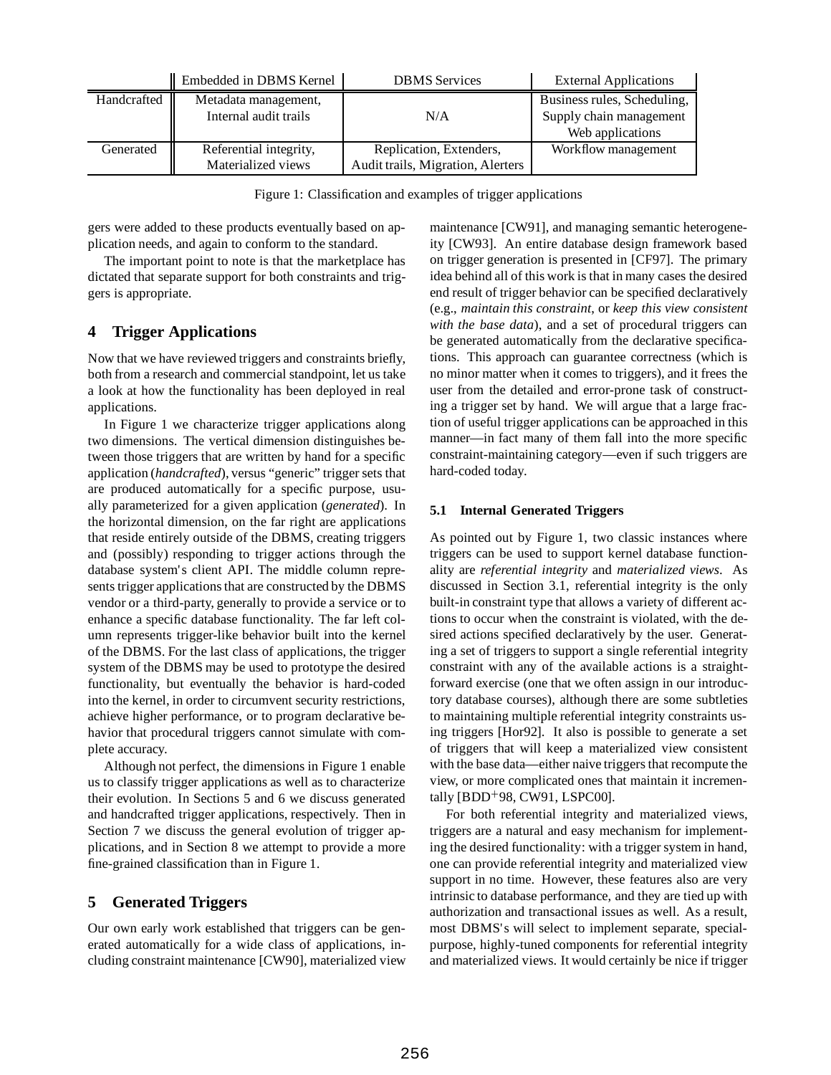|             | Embedded in DBMS Kernel | <b>DBMS</b> Services              | <b>External Applications</b> |
|-------------|-------------------------|-----------------------------------|------------------------------|
| Handcrafted | Metadata management,    |                                   | Business rules, Scheduling,  |
|             | Internal audit trails   | N/A                               | Supply chain management      |
|             |                         |                                   | Web applications             |
| Generated   | Referential integrity,  | Replication, Extenders,           | Workflow management          |
|             | Materialized views      | Audit trails, Migration, Alerters |                              |

Figure 1: Classification and examples of trigger applications

gers were added to these products eventually based on application needs, and again to conform to the standard.

The important point to note is that the marketplace has dictated that separate support for both constraints and triggers is appropriate.

# **4 Trigger Applications**

Now that we have reviewed triggers and constraints briefly, both from a research and commercial standpoint, let us take a look at how the functionality has been deployed in real applications.

In Figure 1 we characterize trigger applications along two dimensions. The vertical dimension distinguishes between those triggers that are written by hand for a specific application (*handcrafted*), versus "generic" trigger sets that are produced automatically for a specific purpose, usually parameterized for a given application (*generated*). In the horizontal dimension, on the far right are applications that reside entirely outside of the DBMS, creating triggers and (possibly) responding to trigger actions through the database system's client API. The middle column represents trigger applications that are constructed by the DBMS vendor or a third-party, generally to provide a service or to enhance a specific database functionality. The far left column represents trigger-like behavior built into the kernel of the DBMS. For the last class of applications, the trigger system of the DBMS may be used to prototype the desired functionality, but eventually the behavior is hard-coded into the kernel, in order to circumvent security restrictions, achieve higher performance, or to program declarative behavior that procedural triggers cannot simulate with complete accuracy.

Although not perfect, the dimensions in Figure 1 enable us to classify trigger applications as well as to characterize their evolution. In Sections 5 and 6 we discuss generated and handcrafted trigger applications, respectively. Then in Section 7 we discuss the general evolution of trigger applications, and in Section 8 we attempt to provide a more fine-grained classification than in Figure 1.

# **5 Generated Triggers**

Our own early work established that triggers can be generated automatically for a wide class of applications, including constraint maintenance [CW90], materialized view maintenance [CW91], and managing semantic heterogeneity [CW93]. An entire database design framework based on trigger generation is presented in [CF97]. The primary idea behind all of this work is that in many cases the desired end result of trigger behavior can be specified declaratively (e.g., *maintain this constraint*, or *keep this view consistent with the base data*), and a set of procedural triggers can be generated automatically from the declarative specifications. This approach can guarantee correctness (which is no minor matter when it comes to triggers), and it frees the user from the detailed and error-prone task of constructing a trigger set by hand. We will argue that a large fraction of useful trigger applications can be approached in this manner—in fact many of them fall into the more specific constraint-maintaining category—even if such triggers are hard-coded today.

### **5.1 Internal Generated Triggers**

As pointed out by Figure 1, two classic instances where triggers can be used to support kernel database functionality are *referential integrity* and *materialized views*. As discussed in Section 3.1, referential integrity is the only built-in constraint type that allows a variety of different actions to occur when the constraint is violated, with the desired actions specified declaratively by the user. Generating a set of triggers to support a single referential integrity constraint with any of the available actions is a straightforward exercise (one that we often assign in our introductory database courses), although there are some subtleties to maintaining multiple referential integrity constraints using triggers [Hor92]. It also is possible to generate a set of triggers that will keep a materialized view consistent with the base data—either naive triggers that recompute the view, or more complicated ones that maintain it incrementally [BDD<sup>+</sup> 98, CW91, LSPC00].

For both referential integrity and materialized views, triggers are a natural and easy mechanism for implementing the desired functionality: with a trigger system in hand, one can provide referential integrity and materialized view support in no time. However, these features also are very intrinsic to database performance, and they are tied up with authorization and transactional issues as well. As a result, most DBMS's will select to implement separate, specialpurpose, highly-tuned components for referential integrity and materialized views. It would certainly be nice if trigger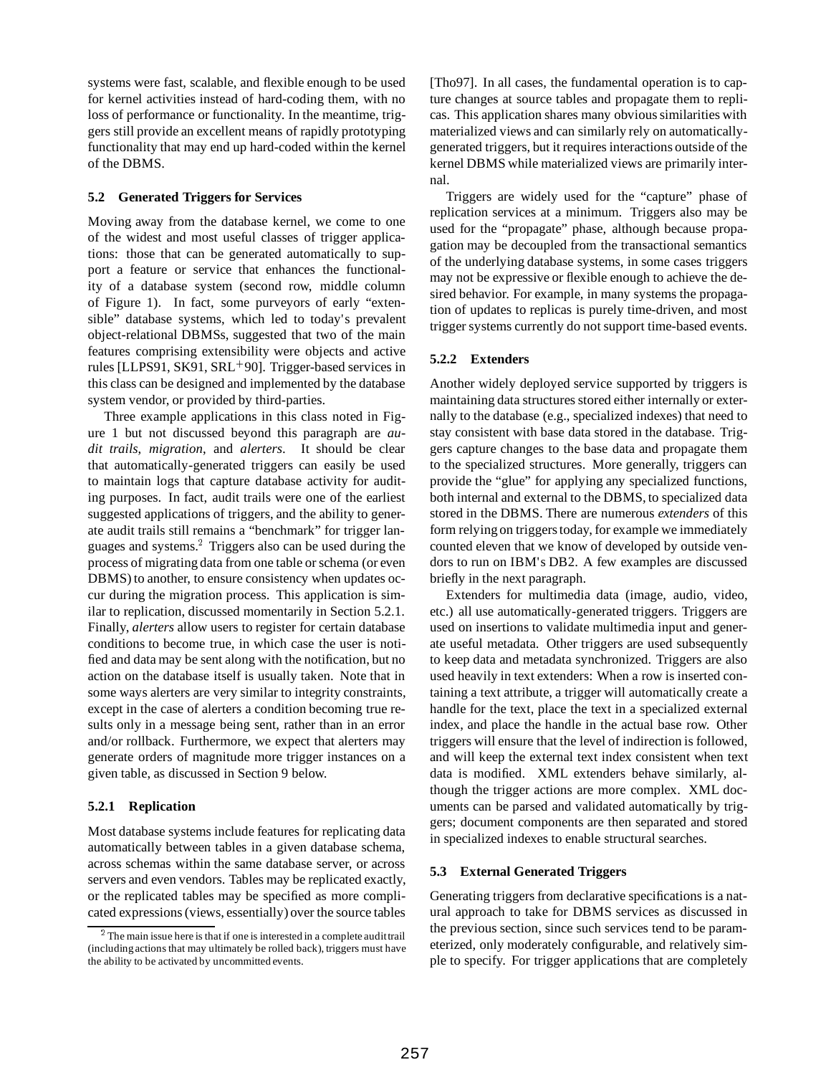systems were fast, scalable, and flexible enough to be used for kernel activities instead of hard-coding them, with no loss of performance or functionality. In the meantime, triggers still provide an excellent means of rapidly prototyping functionality that may end up hard-coded within the kernel of the DBMS.

### **5.2 Generated Triggers for Services**

Moving away from the database kernel, we come to one of the widest and most useful classes of trigger applications: those that can be generated automatically to support a feature or service that enhances the functionality of a database system (second row, middle column of Figure 1). In fact, some purveyors of early "extensible" database systems, which led to today's prevalent object-relational DBMSs, suggested that two of the main features comprising extensibility were objects and active rules [LLPS91, SK91, SRL<sup>+</sup> 90]. Trigger-based services in this class can be designed and implemented by the database system vendor, or provided by third-parties.

Three example applications in this class noted in Figure 1 but not discussed beyond this paragraph are *audit trails*, *migration*, and *alerters*. It should be clear that automatically-generated triggers can easily be used to maintain logs that capture database activity for auditing purposes. In fact, audit trails were one of the earliest suggested applications of triggers, and the ability to generate audit trails still remains a "benchmark" for trigger languages and systems.<sup>2</sup> Triggers also can be used during the process of migrating data from one table or schema (or even DBMS) to another, to ensure consistency when updates occur during the migration process. This application is similar to replication, discussed momentarily in Section 5.2.1. Finally, *alerters* allow users to register for certain database conditions to become true, in which case the user is notified and data may be sent along with the notification, but no action on the database itself is usually taken. Note that in some ways alerters are very similar to integrity constraints, except in the case of alerters a condition becoming true results only in a message being sent, rather than in an error and/or rollback. Furthermore, we expect that alerters may generate orders of magnitude more trigger instances on a given table, as discussed in Section 9 below.

### **5.2.1 Replication**

Most database systems include features for replicating data automatically between tables in a given database schema, across schemas within the same database server, or across servers and even vendors. Tables may be replicated exactly, or the replicated tables may be specified as more complicated expressions (views, essentially) over the source tables

[Tho97]. In all cases, the fundamental operation is to capture changes at source tables and propagate them to replicas. This application shares many obvious similarities with materialized views and can similarly rely on automaticallygenerated triggers, but it requires interactions outside of the kernel DBMS while materialized views are primarily internal.

Triggers are widely used for the "capture" phase of replication services at a minimum. Triggers also may be used for the "propagate" phase, although because propagation may be decoupled from the transactional semantics of the underlying database systems, in some cases triggers may not be expressive or flexible enough to achieve the desired behavior. For example, in many systems the propagation of updates to replicas is purely time-driven, and most trigger systems currently do not support time-based events.

#### **5.2.2 Extenders**

Another widely deployed service supported by triggers is maintaining data structures stored either internally or externally to the database (e.g., specialized indexes) that need to stay consistent with base data stored in the database. Triggers capture changes to the base data and propagate them to the specialized structures. More generally, triggers can provide the "glue" for applying any specialized functions, both internal and external to the DBMS, to specialized data stored in the DBMS. There are numerous *extenders* of this form relying on triggers today, for example we immediately counted eleven that we know of developed by outside vendors to run on IBM's DB2. A few examples are discussed briefly in the next paragraph.

Extenders for multimedia data (image, audio, video, etc.) all use automatically-generated triggers. Triggers are used on insertions to validate multimedia input and generate useful metadata. Other triggers are used subsequently to keep data and metadata synchronized. Triggers are also used heavily in text extenders: When a row is inserted containing a text attribute, a trigger will automatically create a handle for the text, place the text in a specialized external index, and place the handle in the actual base row. Other triggers will ensure that the level of indirection is followed, and will keep the external text index consistent when text data is modified. XML extenders behave similarly, although the trigger actions are more complex. XML documents can be parsed and validated automatically by triggers; document components are then separated and stored in specialized indexes to enable structural searches.

#### **5.3 External Generated Triggers**

Generating triggers from declarative specifications is a natural approach to take for DBMS services as discussed in the previous section, since such services tend to be parameterized, only moderately configurable, and relatively simple to specify. For trigger applications that are completely

<sup>&</sup>lt;sup>2</sup>The main issue here is that if one is interested in a complete audit trail (including actions that may ultimately be rolled back), triggers must have the ability to be activated by uncommitted events.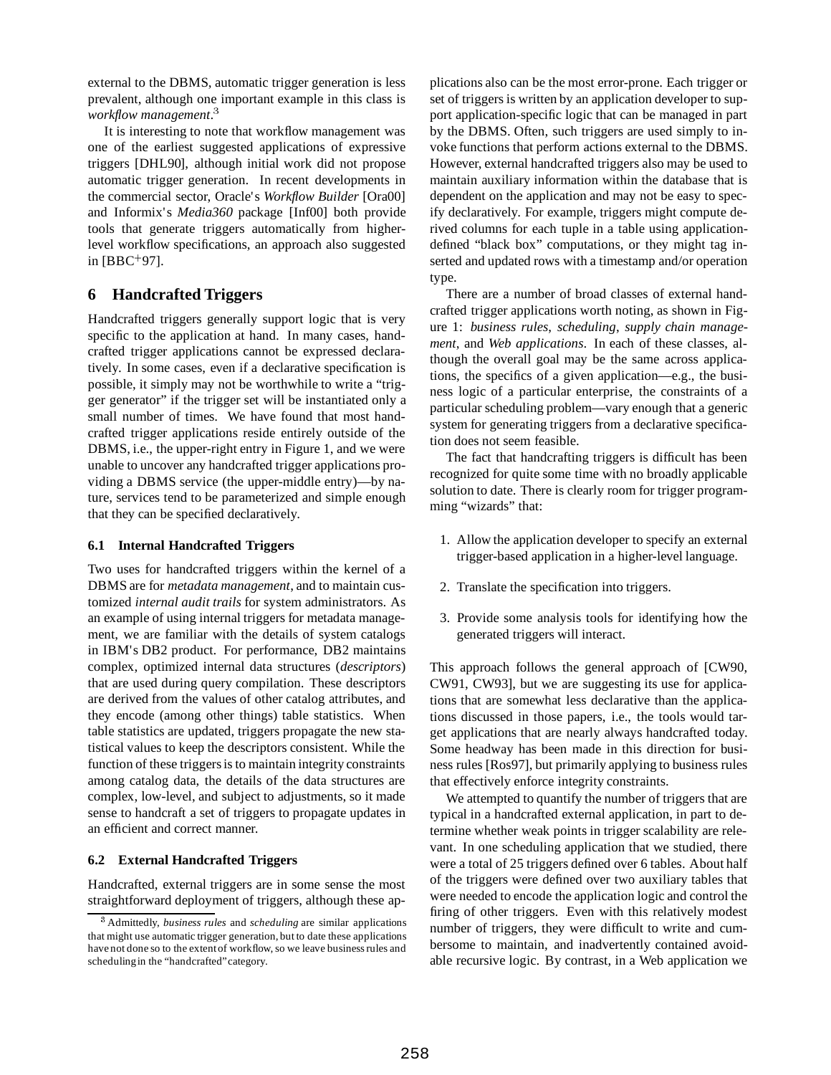external to the DBMS, automatic trigger generation is less prevalent, although one important example in this class is *workflow management*.<sup>3</sup>

It is interesting to note that workflow management was one of the earliest suggested applications of expressive triggers [DHL90], although initial work did not propose automatic trigger generation. In recent developments in the commercial sector, Oracle's *Workflow Builder* [Ora00] and Informix's *Media360* package [Inf00] both provide tools that generate triggers automatically from higherlevel workflow specifications, an approach also suggested in [BBC<sup>+</sup> 97].

# **6 Handcrafted Triggers**

Handcrafted triggers generally support logic that is very specific to the application at hand. In many cases, handcrafted trigger applications cannot be expressed declaratively. In some cases, even if a declarative specification is possible, it simply may not be worthwhile to write a "trigger generator" if the trigger set will be instantiated only a small number of times. We have found that most handcrafted trigger applications reside entirely outside of the DBMS, i.e., the upper-right entry in Figure 1, and we were unable to uncover any handcrafted trigger applications providing a DBMS service (the upper-middle entry)—by nature, services tend to be parameterized and simple enough that they can be specified declaratively.

### **6.1 Internal Handcrafted Triggers**

Two uses for handcrafted triggers within the kernel of a DBMS are for *metadata management*, and to maintain customized *internal audit trails* for system administrators. As an example of using internal triggers for metadata management, we are familiar with the details of system catalogs in IBM's DB2 product. For performance, DB2 maintains complex, optimized internal data structures (*descriptors*) that are used during query compilation. These descriptors are derived from the values of other catalog attributes, and they encode (among other things) table statistics. When table statistics are updated, triggers propagate the new statistical values to keep the descriptors consistent. While the function of these triggers is to maintain integrity constraints among catalog data, the details of the data structures are complex, low-level, and subject to adjustments, so it made sense to handcraft a set of triggers to propagate updates in an efficient and correct manner.

### **6.2 External Handcrafted Triggers**

Handcrafted, external triggers are in some sense the most straightforward deployment of triggers, although these applications also can be the most error-prone. Each trigger or set of triggers is written by an application developer to support application-specific logic that can be managed in part by the DBMS. Often, such triggers are used simply to invoke functions that perform actions external to the DBMS. However, external handcrafted triggers also may be used to maintain auxiliary information within the database that is dependent on the application and may not be easy to specify declaratively. For example, triggers might compute derived columns for each tuple in a table using applicationdefined "black box" computations, or they might tag inserted and updated rows with a timestamp and/or operation type.

There are a number of broad classes of external handcrafted trigger applications worth noting, as shown in Figure 1: *business rules*, *scheduling*, *supply chain management*, and *Web applications*. In each of these classes, although the overall goal may be the same across applications, the specifics of a given application—e.g., the business logic of a particular enterprise, the constraints of a particular scheduling problem—vary enough that a generic system for generating triggers from a declarative specification does not seem feasible.

The fact that handcrafting triggers is difficult has been recognized for quite some time with no broadly applicable solution to date. There is clearly room for trigger programming "wizards" that:

- 1. Allow the application developer to specify an external trigger-based application in a higher-level language.
- 2. Translate the specification into triggers.
- 3. Provide some analysis tools for identifying how the generated triggers will interact.

This approach follows the general approach of [CW90, CW91, CW93], but we are suggesting its use for applications that are somewhat less declarative than the applications discussed in those papers, i.e., the tools would target applications that are nearly always handcrafted today. Some headway has been made in this direction for business rules [Ros97], but primarily applying to business rules that effectively enforce integrity constraints.

We attempted to quantify the number of triggers that are typical in a handcrafted external application, in part to determine whether weak points in trigger scalability are relevant. In one scheduling application that we studied, there were a total of 25 triggers defined over 6 tables. About half of the triggers were defined over two auxiliary tables that were needed to encode the application logic and control the firing of other triggers. Even with this relatively modest number of triggers, they were difficult to write and cumbersome to maintain, and inadvertently contained avoidable recursive logic. By contrast, in a Web application we

<sup>3</sup> Admittedly, *business rules* and *scheduling* are similar applications that might use automatic trigger generation, but to date these applications have not done so to the extentof workflow, so we leave business rules and scheduling in the "handcrafted" category.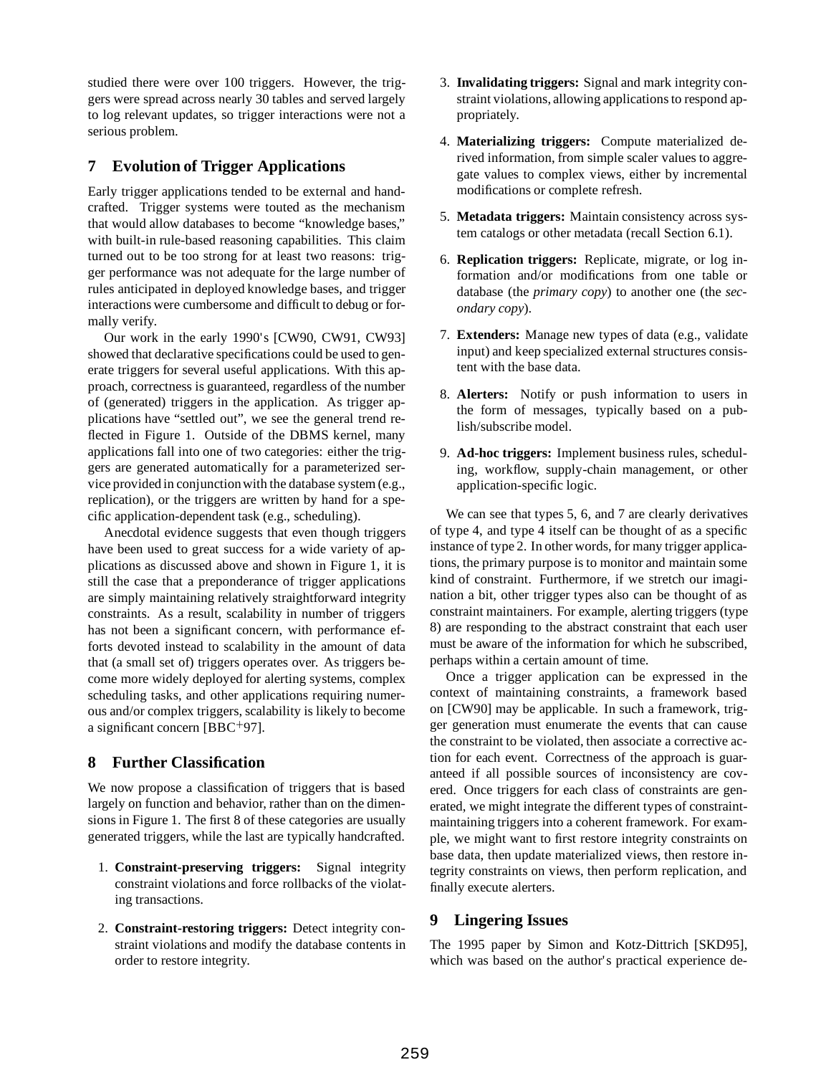studied there were over 100 triggers. However, the triggers were spread across nearly 30 tables and served largely to log relevant updates, so trigger interactions were not a serious problem.

# **7 Evolution of Trigger Applications**

Early trigger applications tended to be external and handcrafted. Trigger systems were touted as the mechanism that would allow databases to become "knowledge bases," with built-in rule-based reasoning capabilities. This claim turned out to be too strong for at least two reasons: trigger performance was not adequate for the large number of rules anticipated in deployed knowledge bases, and trigger interactions were cumbersome and difficult to debug or formally verify.

Our work in the early 1990's [CW90, CW91, CW93] showed that declarative specifications could be used to generate triggers for several useful applications. With this approach, correctness is guaranteed, regardless of the number of (generated) triggers in the application. As trigger applications have "settled out", we see the general trend reflected in Figure 1. Outside of the DBMS kernel, many applications fall into one of two categories: either the triggers are generated automatically for a parameterized service provided in conjunction with the database system (e.g., replication), or the triggers are written by hand for a specific application-dependent task (e.g., scheduling).

Anecdotal evidence suggests that even though triggers have been used to great success for a wide variety of applications as discussed above and shown in Figure 1, it is still the case that a preponderance of trigger applications are simply maintaining relatively straightforward integrity constraints. As a result, scalability in number of triggers has not been a significant concern, with performance efforts devoted instead to scalability in the amount of data that (a small set of) triggers operates over. As triggers become more widely deployed for alerting systems, complex scheduling tasks, and other applications requiring numerous and/or complex triggers, scalability is likely to become a significant concern [BBC<sup>+</sup> 97].

### **8 Further Classification**

We now propose a classification of triggers that is based largely on function and behavior, rather than on the dimensions in Figure 1. The first 8 of these categories are usually generated triggers, while the last are typically handcrafted.

- 1. **Constraint-preserving triggers:** Signal integrity constraint violations and force rollbacks of the violating transactions.
- 2. **Constraint-restoring triggers:** Detect integrity constraint violations and modify the database contents in order to restore integrity.
- 3. **Invalidating triggers:** Signal and mark integrity constraint violations, allowing applications to respond appropriately.
- 4. **Materializing triggers:** Compute materialized derived information, from simple scaler values to aggregate values to complex views, either by incremental modifications or complete refresh.
- 5. **Metadata triggers:** Maintain consistency across system catalogs or other metadata (recall Section 6.1).
- 6. **Replication triggers:** Replicate, migrate, or log information and/or modifications from one table or database (the *primary copy*) to another one (the *secondary copy*).
- 7. **Extenders:** Manage new types of data (e.g., validate input) and keep specialized external structures consistent with the base data.
- 8. **Alerters:** Notify or push information to users in the form of messages, typically based on a publish/subscribe model.
- 9. **Ad-hoc triggers:** Implement business rules, scheduling, workflow, supply-chain management, or other application-specific logic.

We can see that types 5, 6, and 7 are clearly derivatives of type 4, and type 4 itself can be thought of as a specific instance of type 2. In other words, for many trigger applications, the primary purpose is to monitor and maintain some kind of constraint. Furthermore, if we stretch our imagination a bit, other trigger types also can be thought of as constraint maintainers. For example, alerting triggers (type 8) are responding to the abstract constraint that each user must be aware of the information for which he subscribed, perhaps within a certain amount of time.

Once a trigger application can be expressed in the context of maintaining constraints, a framework based on [CW90] may be applicable. In such a framework, trigger generation must enumerate the events that can cause the constraint to be violated, then associate a corrective action for each event. Correctness of the approach is guaranteed if all possible sources of inconsistency are covered. Once triggers for each class of constraints are generated, we might integrate the different types of constraintmaintaining triggers into a coherent framework. For example, we might want to first restore integrity constraints on base data, then update materialized views, then restore integrity constraints on views, then perform replication, and finally execute alerters.

### **9 Lingering Issues**

The 1995 paper by Simon and Kotz-Dittrich [SKD95], which was based on the author's practical experience de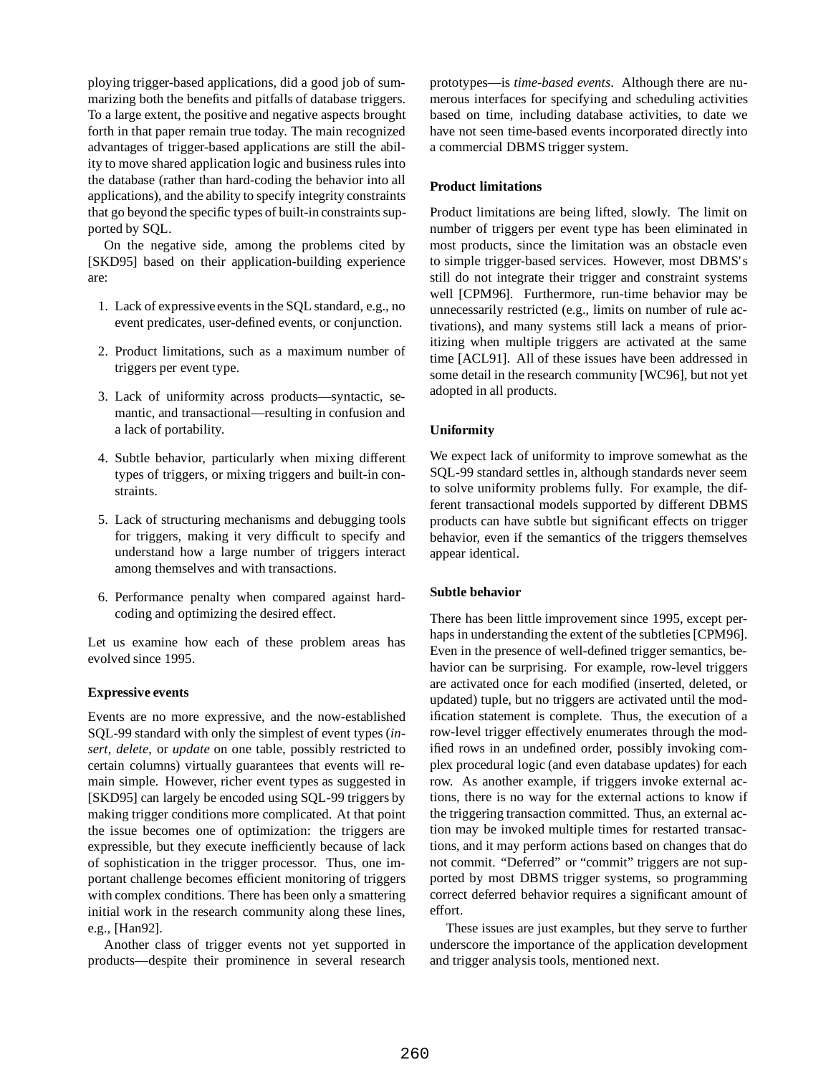ploying trigger-based applications, did a good job of summarizing both the benefits and pitfalls of database triggers. To a large extent, the positive and negative aspects brought forth in that paper remain true today. The main recognized advantages of trigger-based applications are still the ability to move shared application logic and business rules into the database (rather than hard-coding the behavior into all applications), and the ability to specify integrity constraints that go beyond the specific types of built-in constraints supported by SQL.

On the negative side, among the problems cited by [SKD95] based on their application-building experience are:

- 1. Lack of expressive events in the SQL standard, e.g., no event predicates, user-defined events, or conjunction.
- 2. Product limitations, such as a maximum number of triggers per event type.
- 3. Lack of uniformity across products—syntactic, semantic, and transactional—resulting in confusion and a lack of portability.
- 4. Subtle behavior, particularly when mixing different types of triggers, or mixing triggers and built-in constraints.
- 5. Lack of structuring mechanisms and debugging tools for triggers, making it very difficult to specify and understand how a large number of triggers interact among themselves and with transactions.
- 6. Performance penalty when compared against hardcoding and optimizing the desired effect.

Let us examine how each of these problem areas has evolved since 1995.

### **Expressive events**

Events are no more expressive, and the now-established SQL-99 standard with only the simplest of event types (*insert*, *delete*, or *update* on one table, possibly restricted to certain columns) virtually guarantees that events will remain simple. However, richer event types as suggested in [SKD95] can largely be encoded using SQL-99 triggers by making trigger conditions more complicated. At that point the issue becomes one of optimization: the triggers are expressible, but they execute inefficiently because of lack of sophistication in the trigger processor. Thus, one important challenge becomes efficient monitoring of triggers with complex conditions. There has been only a smattering initial work in the research community along these lines, e.g., [Han92].

Another class of trigger events not yet supported in products—despite their prominence in several research

prototypes—is *time-based events*. Although there are numerous interfaces for specifying and scheduling activities based on time, including database activities, to date we have not seen time-based events incorporated directly into a commercial DBMS trigger system.

### **Product limitations**

Product limitations are being lifted, slowly. The limit on number of triggers per event type has been eliminated in most products, since the limitation was an obstacle even to simple trigger-based services. However, most DBMS's still do not integrate their trigger and constraint systems well [CPM96]. Furthermore, run-time behavior may be unnecessarily restricted (e.g., limits on number of rule activations), and many systems still lack a means of prioritizing when multiple triggers are activated at the same time [ACL91]. All of these issues have been addressed in some detail in the research community [WC96], but not yet adopted in all products.

### **Uniformity**

We expect lack of uniformity to improve somewhat as the SQL-99 standard settles in, although standards never seem to solve uniformity problems fully. For example, the different transactional models supported by different DBMS products can have subtle but significant effects on trigger behavior, even if the semantics of the triggers themselves appear identical.

### **Subtle behavior**

There has been little improvement since 1995, except perhaps in understanding the extent of the subtleties [CPM96]. Even in the presence of well-defined trigger semantics, behavior can be surprising. For example, row-level triggers are activated once for each modified (inserted, deleted, or updated) tuple, but no triggers are activated until the modification statement is complete. Thus, the execution of a row-level trigger effectively enumerates through the modified rows in an undefined order, possibly invoking complex procedural logic (and even database updates) for each row. As another example, if triggers invoke external actions, there is no way for the external actions to know if the triggering transaction committed. Thus, an external action may be invoked multiple times for restarted transactions, and it may perform actions based on changes that do not commit. "Deferred" or "commit" triggers are not supported by most DBMS trigger systems, so programming correct deferred behavior requires a significant amount of effort.

These issues are just examples, but they serve to further underscore the importance of the application development and trigger analysis tools, mentioned next.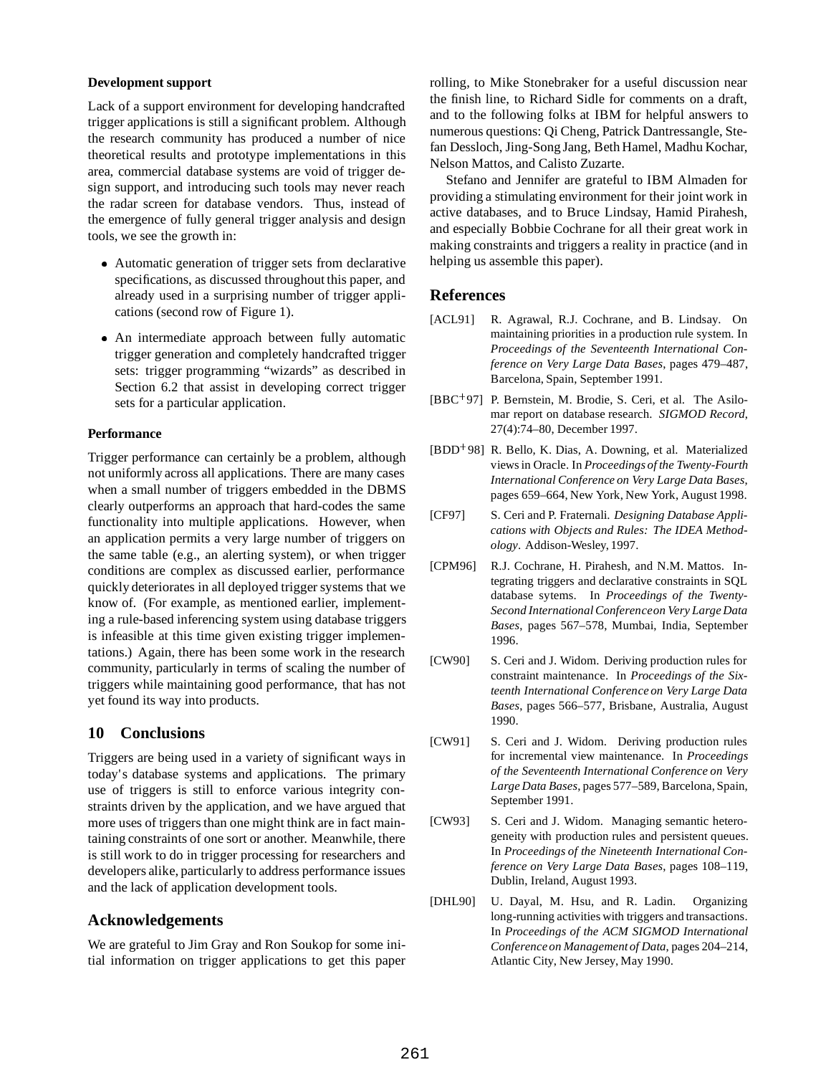#### **Development support**

Lack of a support environment for developing handcrafted trigger applications is still a significant problem. Although the research community has produced a number of nice theoretical results and prototype implementations in this area, commercial database systems are void of trigger design support, and introducing such tools may never reach the radar screen for database vendors. Thus, instead of the emergence of fully general trigger analysis and design tools, we see the growth in:

- Automatic generation of trigger sets from declarative specifications, as discussed throughout this paper, and already used in a surprising number of trigger applications (second row of Figure 1).
- An intermediate approach between fully automatic trigger generation and completely handcrafted trigger sets: trigger programming "wizards" as described in Section 6.2 that assist in developing correct trigger sets for a particular application.

#### **Performance**

Trigger performance can certainly be a problem, although not uniformly across all applications. There are many cases when a small number of triggers embedded in the DBMS clearly outperforms an approach that hard-codes the same functionality into multiple applications. However, when an application permits a very large number of triggers on the same table (e.g., an alerting system), or when trigger conditions are complex as discussed earlier, performance quickly deteriorates in all deployed trigger systems that we know of. (For example, as mentioned earlier, implementing a rule-based inferencing system using database triggers is infeasible at this time given existing trigger implementations.) Again, there has been some work in the research community, particularly in terms of scaling the number of triggers while maintaining good performance, that has not yet found its way into products.

### **10 Conclusions**

Triggers are being used in a variety of significant ways in today's database systems and applications. The primary use of triggers is still to enforce various integrity constraints driven by the application, and we have argued that more uses of triggers than one might think are in fact maintaining constraints of one sort or another. Meanwhile, there is still work to do in trigger processing for researchers and developers alike, particularly to address performance issues and the lack of application development tools.

### **Acknowledgements**

We are grateful to Jim Gray and Ron Soukop for some initial information on trigger applications to get this paper rolling, to Mike Stonebraker for a useful discussion near the finish line, to Richard Sidle for comments on a draft, and to the following folks at IBM for helpful answers to numerous questions: Qi Cheng, Patrick Dantressangle, Stefan Dessloch, Jing-Song Jang, Beth Hamel, Madhu Kochar, Nelson Mattos, and Calisto Zuzarte.

Stefano and Jennifer are grateful to IBM Almaden for providing a stimulating environment for their joint work in active databases, and to Bruce Lindsay, Hamid Pirahesh, and especially Bobbie Cochrane for all their great work in making constraints and triggers a reality in practice (and in helping us assemble this paper).

### **References**

- [ACL91] R. Agrawal, R.J. Cochrane, and B. Lindsay. On maintaining priorities in a production rule system. In *Proceedings of the Seventeenth International Conference on Very Large Data Bases*, pages 479–487, Barcelona, Spain, September 1991.
- [BBC<sup>+</sup> 97] P. Bernstein, M. Brodie, S. Ceri, et al. The Asilomar report on database research. *SIGMOD Record*, 27(4):74–80, December 1997.
- [BDD<sup>+</sup> 98] R. Bello, K. Dias, A. Downing, et al. Materialized views in Oracle. In *Proceedings of the Twenty-Fourth International Conference on Very Large Data Bases*, pages 659–664, New York, New York, August 1998.
- [CF97] S. Ceri and P. Fraternali. *Designing Database Applications with Objects and Rules: The IDEA Methodology*. Addison-Wesley, 1997.
- [CPM96] R.J. Cochrane, H. Pirahesh, and N.M. Mattos. Integrating triggers and declarative constraints in SQL database sytems. In *Proceedings of the Twenty-Second International Conferenceon Very Large Data Bases*, pages 567–578, Mumbai, India, September 1996.
- [CW90] S. Ceri and J. Widom. Deriving production rules for constraint maintenance. In *Proceedings of the Sixteenth International Conference on Very Large Data Bases*, pages 566–577, Brisbane, Australia, August 1990.
- [CW91] S. Ceri and J. Widom. Deriving production rules for incremental view maintenance. In *Proceedings of the Seventeenth International Conference on Very Large Data Bases*, pages 577–589, Barcelona, Spain, September 1991.
- [CW93] S. Ceri and J. Widom. Managing semantic heterogeneity with production rules and persistent queues. In *Proceedings of the Nineteenth International Conference on Very Large Data Bases*, pages 108–119, Dublin, Ireland, August 1993.
- [DHL90] U. Dayal, M. Hsu, and R. Ladin. Organizing long-running activities with triggers and transactions. In *Proceedings of the ACM SIGMOD International Conferenceon Managementof Data*, pages 204–214, Atlantic City, New Jersey, May 1990.